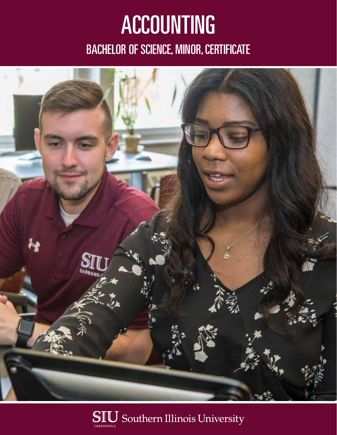## ACCOUNTING BACHELOR OF SCIENCE, MINOR, CERTIFICATE